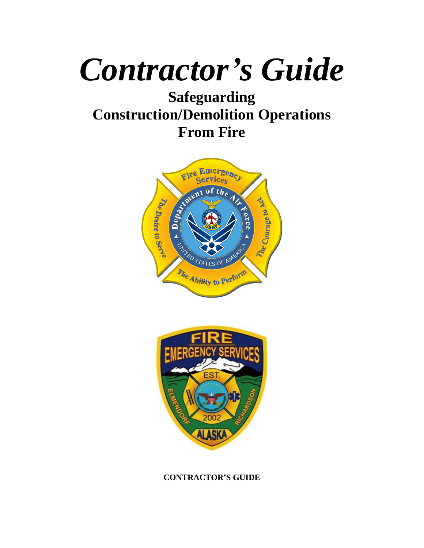# *Contractor's Guide*

## **Safeguarding Construction/Demolition Operations From Fire**





### **CONTRACTOR'S GUIDE**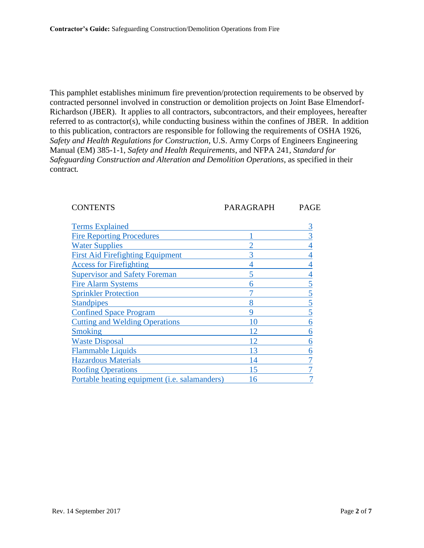This pamphlet establishes minimum fire prevention/protection requirements to be observed by contracted personnel involved in construction or demolition projects on Joint Base Elmendorf-Richardson (JBER). It applies to all contractors, subcontractors, and their employees, hereafter referred to as contractor(s), while conducting business within the confines of JBER. In addition to this publication, contractors are responsible for following the requirements of OSHA 1926, *Safety and Health Regulations for Construction*, U.S. Army Corps of Engineers Engineering Manual (EM) 385-1-1, *Safety and Health Requirements*, and NFPA 241, *Standard for Safeguarding Construction and Alteration and Demolition Operations*, as specified in their contract*.*

#### CONTENTS PARAGRAPH PAGE

<span id="page-1-0"></span>

| <b>Terms Explained</b>                        |                 |   |
|-----------------------------------------------|-----------------|---|
| <b>Fire Reporting Procedures</b>              |                 |   |
| <b>Water Supplies</b>                         |                 |   |
| <b>First Aid Firefighting Equipment</b>       |                 |   |
| <b>Access for Firefighting</b>                |                 |   |
| <b>Supervisor and Safety Foreman</b>          | 5               |   |
| <b>Fire Alarm Systems</b>                     | h               |   |
| <b>Sprinkler Protection</b>                   |                 | 5 |
| <b>Standpipes</b>                             | 8               |   |
| <b>Confined Space Program</b>                 | Q               |   |
| <b>Cutting and Welding Operations</b>         | 10              | 6 |
| <b>Smoking</b>                                | $\overline{12}$ | 6 |
| <b>Waste Disposal</b>                         |                 | 6 |
| <b>Flammable Liquids</b>                      | 13              |   |
| <b>Hazardous Materials</b>                    |                 |   |
| <b>Roofing Operations</b>                     | 15              |   |
| Portable heating equipment (i.e. salamanders) | 6               |   |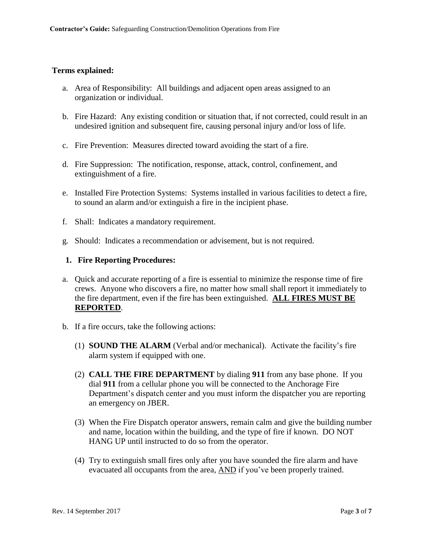#### <span id="page-2-0"></span>**Terms explained:**

- a. Area of Responsibility: All buildings and adjacent open areas assigned to an organization or individual.
- b. Fire Hazard: Any existing condition or situation that, if not corrected, could result in an undesired ignition and subsequent fire, causing personal injury and/or loss of life.
- c. Fire Prevention: Measures directed toward avoiding the start of a fire.
- d. Fire Suppression: The notification, response, attack, control, confinement, and extinguishment of a fire.
- e. Installed Fire Protection Systems: Systems installed in various facilities to detect a fire, to sound an alarm and/or extinguish a fire in the incipient phase.
- f. Shall: Indicates a mandatory requirement.
- g. Should: Indicates a recommendation or advisement, but is not required.

#### <span id="page-2-1"></span>**1. Fire Reporting Procedures:**

- a. Quick and accurate reporting of a fire is essential to minimize the response time of fire crews. Anyone who discovers a fire, no matter how small shall report it immediately to the fire department, even if the fire has been extinguished. **ALL FIRES MUST BE REPORTED**.
- b. If a fire occurs, take the following actions:
	- (1) **SOUND THE ALARM** (Verbal and/or mechanical). Activate the facility's fire alarm system if equipped with one.
	- (2) **CALL THE FIRE DEPARTMENT** by dialing **911** from any base phone. If you dial **911** from a cellular phone you will be connected to the Anchorage Fire Department's dispatch center and you must inform the dispatcher you are reporting an emergency on JBER.
	- (3) When the Fire Dispatch operator answers, remain calm and give the building number and name, location within the building, and the type of fire if known. DO NOT HANG UP until instructed to do so from the operator.
	- (4) Try to extinguish small fires only after you have sounded the fire alarm and have evacuated all occupants from the area, AND if you've been properly trained.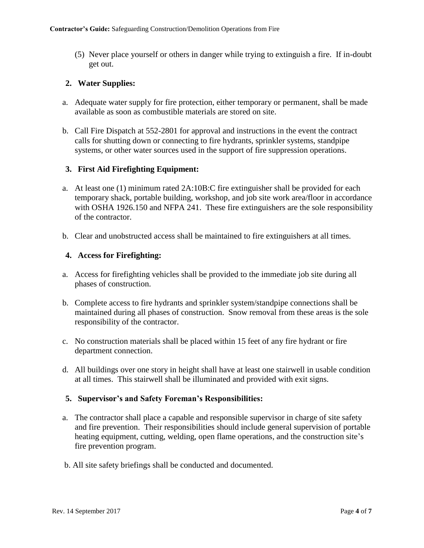(5) Never place yourself or others in danger while trying to extinguish a fire. If in-doubt get out.

#### <span id="page-3-0"></span>**2. Water Supplies:**

- a. Adequate water supply for fire protection, either temporary or permanent, shall be made available as soon as combustible materials are stored on site.
- b. Call Fire Dispatch at 552-2801 for approval and instructions in the event the contract calls for shutting down or connecting to fire hydrants, sprinkler systems, standpipe systems, or other water sources used in the support of fire suppression operations.

#### **3. First Aid Firefighting Equipment:**

- a. At least one (1) minimum rated 2A:10B:C fire extinguisher shall be provided for each temporary shack, portable building, workshop, and job site work area/floor in accordance with OSHA 1926.150 and NFPA 241. These fire extinguishers are the sole responsibility of the contractor.
- b. Clear and unobstructed access shall be maintained to fire extinguishers at all times.

#### <span id="page-3-1"></span>**4. Access for Firefighting:**

- a. Access for firefighting vehicles shall be provided to the immediate job site during all phases of construction.
- b. Complete access to fire hydrants and sprinkler system/standpipe connections shall be maintained during all phases of construction. Snow removal from these areas is the sole responsibility of the contractor.
- c. No construction materials shall be placed within 15 feet of any fire hydrant or fire department connection.
- d. All buildings over one story in height shall have at least one stairwell in usable condition at all times. This stairwell shall be illuminated and provided with exit signs.

#### <span id="page-3-2"></span>**5. Supervisor's and Safety Foreman's Responsibilities:**

- a. The contractor shall place a capable and responsible supervisor in charge of site safety and fire prevention. Their responsibilities should include general supervision of portable heating equipment, cutting, welding, open flame operations, and the construction site's fire prevention program.
- b. All site safety briefings shall be conducted and documented.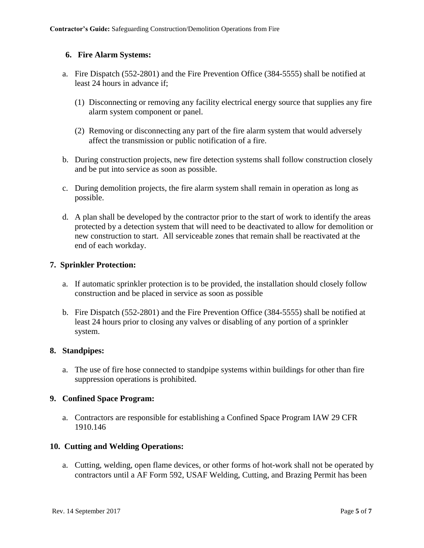#### <span id="page-4-0"></span>**6. Fire Alarm Systems:**

- a. Fire Dispatch (552-2801) and the Fire Prevention Office (384-5555) shall be notified at least 24 hours in advance if;
	- (1) Disconnecting or removing any facility electrical energy source that supplies any fire alarm system component or panel.
	- (2) Removing or disconnecting any part of the fire alarm system that would adversely affect the transmission or public notification of a fire.
- b. During construction projects, new fire detection systems shall follow construction closely and be put into service as soon as possible.
- c. During demolition projects, the fire alarm system shall remain in operation as long as possible.
- d. A plan shall be developed by the contractor prior to the start of work to identify the areas protected by a detection system that will need to be deactivated to allow for demolition or new construction to start. All serviceable zones that remain shall be reactivated at the end of each workday.

#### <span id="page-4-1"></span>**7. Sprinkler Protection:**

- a. If automatic sprinkler protection is to be provided, the installation should closely follow construction and be placed in service as soon as possible
- b. Fire Dispatch (552-2801) and the Fire Prevention Office (384-5555) shall be notified at least 24 hours prior to closing any valves or disabling of any portion of a sprinkler system.

#### <span id="page-4-2"></span>**8. Standpipes:**

a. The use of fire hose connected to standpipe systems within buildings for other than fire suppression operations is prohibited.

#### <span id="page-4-3"></span>**9. Confined Space Program:**

a. Contractors are responsible for establishing a Confined Space Program IAW 29 CFR 1910.146

#### <span id="page-4-4"></span>**10. Cutting and Welding Operations:**

a. Cutting, welding, open flame devices, or other forms of hot-work shall not be operated by contractors until a AF Form 592, USAF Welding, Cutting, and Brazing Permit has been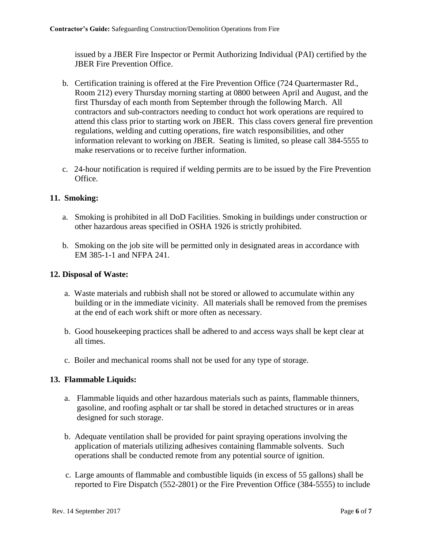issued by a JBER Fire Inspector or Permit Authorizing Individual (PAI) certified by the JBER Fire Prevention Office.

- b. Certification training is offered at the Fire Prevention Office (724 Quartermaster Rd., Room 212) every Thursday morning starting at 0800 between April and August, and the first Thursday of each month from September through the following March. All contractors and sub-contractors needing to conduct hot work operations are required to attend this class prior to starting work on JBER. This class covers general fire prevention regulations, welding and cutting operations, fire watch responsibilities, and other information relevant to working on JBER. Seating is limited, so please call 384-5555 to make reservations or to receive further information.
- c. 24-hour notification is required if welding permits are to be issued by the Fire Prevention Office.

#### <span id="page-5-0"></span>**11. Smoking:**

- a. Smoking is prohibited in all DoD Facilities. Smoking in buildings under construction or other hazardous areas specified in OSHA 1926 is strictly prohibited.
- b. Smoking on the job site will be permitted only in designated areas in accordance with EM 385-1-1 and NFPA 241.

#### <span id="page-5-1"></span>**12. Disposal of Waste:**

- a. Waste materials and rubbish shall not be stored or allowed to accumulate within any building or in the immediate vicinity. All materials shall be removed from the premises at the end of each work shift or more often as necessary.
- b. Good housekeeping practices shall be adhered to and access ways shall be kept clear at all times.
- c. Boiler and mechanical rooms shall not be used for any type of storage.

#### <span id="page-5-2"></span>**13. Flammable Liquids:**

- a. Flammable liquids and other hazardous materials such as paints, flammable thinners, gasoline, and roofing asphalt or tar shall be stored in detached structures or in areas designed for such storage.
- b. Adequate ventilation shall be provided for paint spraying operations involving the application of materials utilizing adhesives containing flammable solvents. Such operations shall be conducted remote from any potential source of ignition.
- c. Large amounts of flammable and combustible liquids (in excess of 55 gallons) shall be reported to Fire Dispatch (552-2801) or the Fire Prevention Office (384-5555) to include